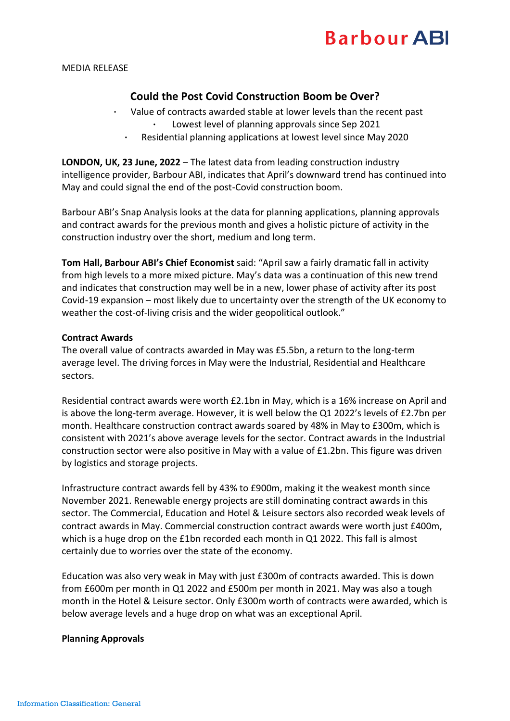## **Barbour ABI**

MEDIA RELEASE

### **Could the Post Covid Construction Boom be Over?**

- **·** Value of contracts awarded stable at lower levels than the recent past Lowest level of planning approvals since Sep 2021
	- Residential planning applications at lowest level since May 2020

**LONDON, UK, 23 June, 2022** – The latest data from leading construction industry intelligence provider, Barbour ABI, indicates that April's downward trend has continued into May and could signal the end of the post-Covid construction boom.

Barbour ABI's Snap Analysis looks at the data for planning applications, planning approvals and contract awards for the previous month and gives a holistic picture of activity in the construction industry over the short, medium and long term.

**Tom Hall, Barbour ABI's Chief Economist** said: "April saw a fairly dramatic fall in activity from high levels to a more mixed picture. May's data was a continuation of this new trend and indicates that construction may well be in a new, lower phase of activity after its post Covid-19 expansion – most likely due to uncertainty over the strength of the UK economy to weather the cost-of-living crisis and the wider geopolitical outlook."

#### **Contract Awards**

The overall value of contracts awarded in May was £5.5bn, a return to the long-term average level. The driving forces in May were the Industrial, Residential and Healthcare sectors.

Residential contract awards were worth £2.1bn in May, which is a 16% increase on April and is above the long-term average. However, it is well below the Q1 2022's levels of £2.7bn per month. Healthcare construction contract awards soared by 48% in May to £300m, which is consistent with 2021's above average levels for the sector. Contract awards in the Industrial construction sector were also positive in May with a value of £1.2bn. This figure was driven by logistics and storage projects.

Infrastructure contract awards fell by 43% to £900m, making it the weakest month since November 2021. Renewable energy projects are still dominating contract awards in this sector. The Commercial, Education and Hotel & Leisure sectors also recorded weak levels of contract awards in May. Commercial construction contract awards were worth just £400m, which is a huge drop on the £1bn recorded each month in Q1 2022. This fall is almost certainly due to worries over the state of the economy.

Education was also very weak in May with just £300m of contracts awarded. This is down from £600m per month in Q1 2022 and £500m per month in 2021. May was also a tough month in the Hotel & Leisure sector. Only £300m worth of contracts were awarded, which is below average levels and a huge drop on what was an exceptional April.

#### **Planning Approvals**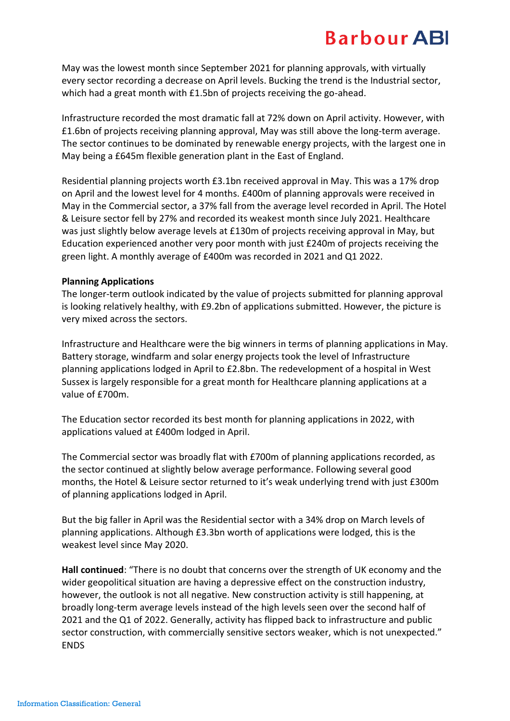### **Barbour ABI**

May was the lowest month since September 2021 for planning approvals, with virtually every sector recording a decrease on April levels. Bucking the trend is the Industrial sector, which had a great month with £1.5bn of projects receiving the go-ahead.

Infrastructure recorded the most dramatic fall at 72% down on April activity. However, with £1.6bn of projects receiving planning approval, May was still above the long-term average. The sector continues to be dominated by renewable energy projects, with the largest one in May being a £645m flexible generation plant in the East of England.

Residential planning projects worth £3.1bn received approval in May. This was a 17% drop on April and the lowest level for 4 months. £400m of planning approvals were received in May in the Commercial sector, a 37% fall from the average level recorded in April. The Hotel & Leisure sector fell by 27% and recorded its weakest month since July 2021. Healthcare was just slightly below average levels at £130m of projects receiving approval in May, but Education experienced another very poor month with just £240m of projects receiving the green light. A monthly average of £400m was recorded in 2021 and Q1 2022.

#### **Planning Applications**

The longer-term outlook indicated by the value of projects submitted for planning approval is looking relatively healthy, with £9.2bn of applications submitted. However, the picture is very mixed across the sectors.

Infrastructure and Healthcare were the big winners in terms of planning applications in May. Battery storage, windfarm and solar energy projects took the level of Infrastructure planning applications lodged in April to £2.8bn. The redevelopment of a hospital in West Sussex is largely responsible for a great month for Healthcare planning applications at a value of £700m.

The Education sector recorded its best month for planning applications in 2022, with applications valued at £400m lodged in April.

The Commercial sector was broadly flat with £700m of planning applications recorded, as the sector continued at slightly below average performance. Following several good months, the Hotel & Leisure sector returned to it's weak underlying trend with just £300m of planning applications lodged in April.

But the big faller in April was the Residential sector with a 34% drop on March levels of planning applications. Although £3.3bn worth of applications were lodged, this is the weakest level since May 2020.

**Hall continued**: "There is no doubt that concerns over the strength of UK economy and the wider geopolitical situation are having a depressive effect on the construction industry, however, the outlook is not all negative. New construction activity is still happening, at broadly long-term average levels instead of the high levels seen over the second half of 2021 and the Q1 of 2022. Generally, activity has flipped back to infrastructure and public sector construction, with commercially sensitive sectors weaker, which is not unexpected." ENDS